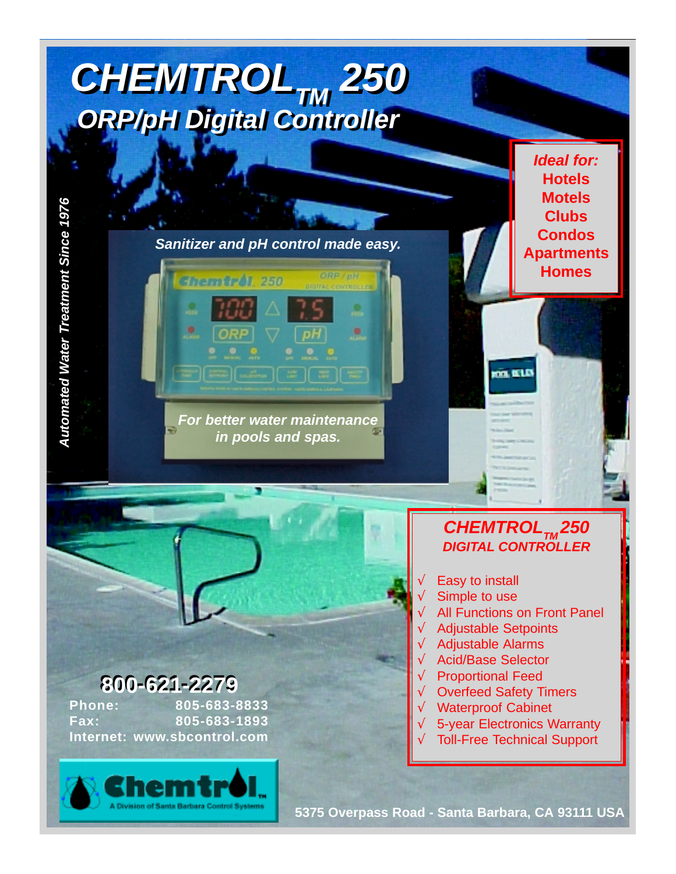